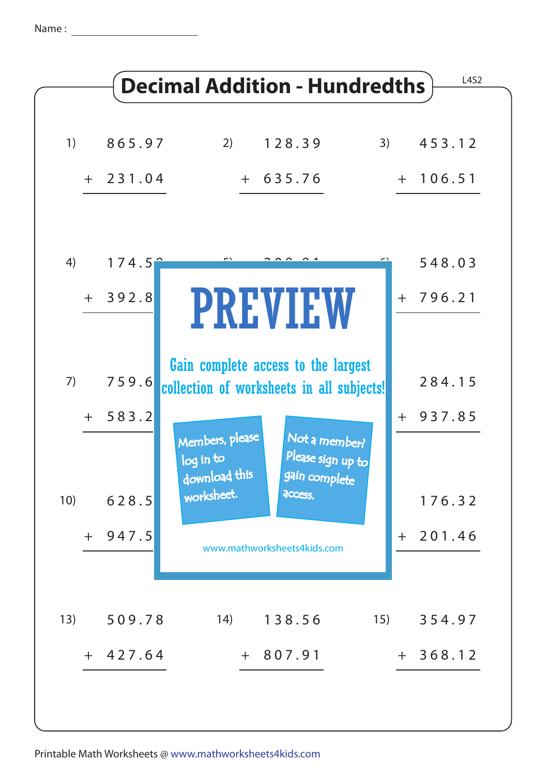